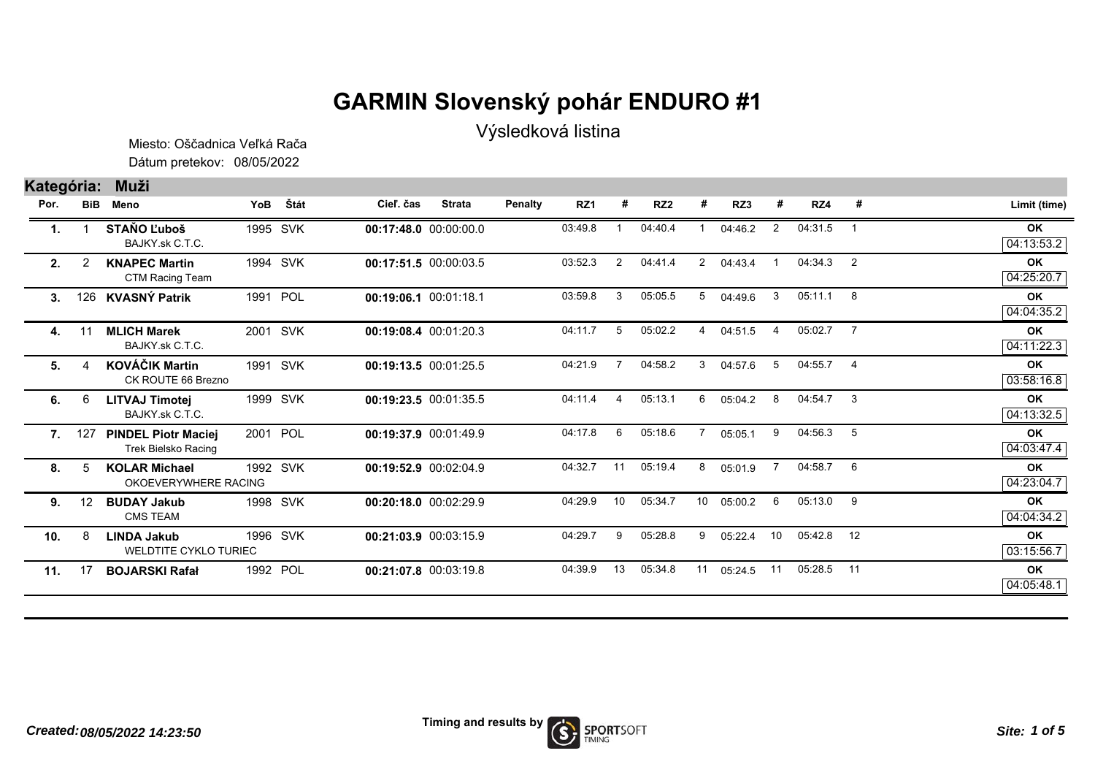## **GARMIN Slovenský pohár ENDURO #1**

Výsledková listina

Dátum pretekov: 08/05/2022 Miesto: Oščadnica Veľká Rača

## **Kategória: Muži**

| Por. | <b>BiB</b> | Meno                                                     | YoB | Štát     | Cieľ. čas             | <b>Strata</b> | Penalty | RZ1     | -# | RZ <sub>2</sub> |                 | RZ3     |                | RZ4         | #              | Limit (time)            |
|------|------------|----------------------------------------------------------|-----|----------|-----------------------|---------------|---------|---------|----|-----------------|-----------------|---------|----------------|-------------|----------------|-------------------------|
| 1.   |            | <b>STAŇO Ľuboš</b><br>BAJKY.sk C.T.C.                    |     | 1995 SVK | 00:17:48.0 00:00:00.0 |               |         | 03:49.8 |    | 04:40.4         |                 | 04:46.2 | 2              | 04:31.5     | $\mathbf{1}$   | OK<br>04:13:53.2        |
| 2.   | 2          | <b>KNAPEC Martin</b><br>CTM Racing Team                  |     | 1994 SVK | 00:17:51.5 00:00:03.5 |               |         | 03:52.3 | 2  | 04:41.4         | $2^{\circ}$     | 04:43.4 |                | 04:34.3     | $\overline{2}$ | <b>OK</b><br>04:25:20.7 |
| 3.   | 126        | <b>KVASNÝ Patrik</b>                                     |     | 1991 POL | 00:19:06.1 00:01:18.1 |               |         | 03:59.8 | 3  | 05:05.5         | 5               | 04:49.6 | 3              | $05:11.1$ 8 |                | OK<br>04:04:35.2        |
| 4.   | 11         | <b>MLICH Marek</b><br>BAJKY.sk C.T.C.                    |     | 2001 SVK | 00:19:08.4 00:01:20.3 |               |         | 04:11.7 | 5  | 05:02.2         | 4               | 04:51.5 | $\overline{4}$ | 05:02.7     | $\overline{7}$ | <b>OK</b><br>04:11:22.3 |
| 5.   |            | <b>KOVÁČIK Martin</b><br>CK ROUTE 66 Brezno              |     | 1991 SVK | 00:19:13.5 00:01:25.5 |               |         | 04:21.9 |    | 04:58.2         | 3               | 04:57.6 | 5              | 04:55.7     | $\overline{4}$ | <b>OK</b><br>03:58:16.8 |
| 6.   | 6          | <b>LITVAJ Timotej</b><br>BAJKY.sk C.T.C.                 |     | 1999 SVK | 00:19:23.5 00:01:35.5 |               |         | 04:11.4 | 4  | 05:13.1         | 6               | 05:04.2 | 8              | 04:54.7     | 3              | <b>OK</b><br>04:13:32.5 |
| 7.   | 127        | <b>PINDEL Piotr Maciej</b><br><b>Trek Bielsko Racing</b> |     | 2001 POL | 00:19:37.9 00:01:49.9 |               |         | 04:17.8 | 6  | 05:18.6         |                 | 05:05.1 | 9              | 04:56.3     | 5              | OK<br>04:03:47.4        |
| 8.   | 5          | <b>KOLAR Michael</b><br>OKOEVERYWHERE RACING             |     | 1992 SVK | 00:19:52.9 00:02:04.9 |               |         | 04:32.7 | 11 | 05:19.4         | 8               | 05:01.9 | $\overline{7}$ | 04:58.7     | $6^{\circ}$    | <b>OK</b><br>04:23:04.7 |
| 9.   | 12         | <b>BUDAY Jakub</b><br><b>CMS TEAM</b>                    |     | 1998 SVK | 00:20:18.0 00:02:29.9 |               |         | 04:29.9 | 10 | 05:34.7         | 10 <sup>°</sup> | 05:00.2 | 6              | 05:13.0     | -9             | <b>OK</b><br>04:04:34.2 |
| 10.  | 8          | <b>LINDA Jakub</b><br><b>WELDTITE CYKLO TURIEC</b>       |     | 1996 SVK | 00:21:03.9 00:03:15.9 |               |         | 04:29.7 | 9  | 05:28.8         | 9               | 05:22.4 | 10             | 05:42.8     | 12             | <b>OK</b><br>03:15:56.7 |
| 11.  | 17         | <b>BOJARSKI Rafał</b>                                    |     | 1992 POL | 00:21:07.8 00:03:19.8 |               |         | 04:39.9 | 13 | 05:34.8         | 11              | 05:24.5 | 11             | 05:28.5     | 11             | OK<br>04:05:48.1        |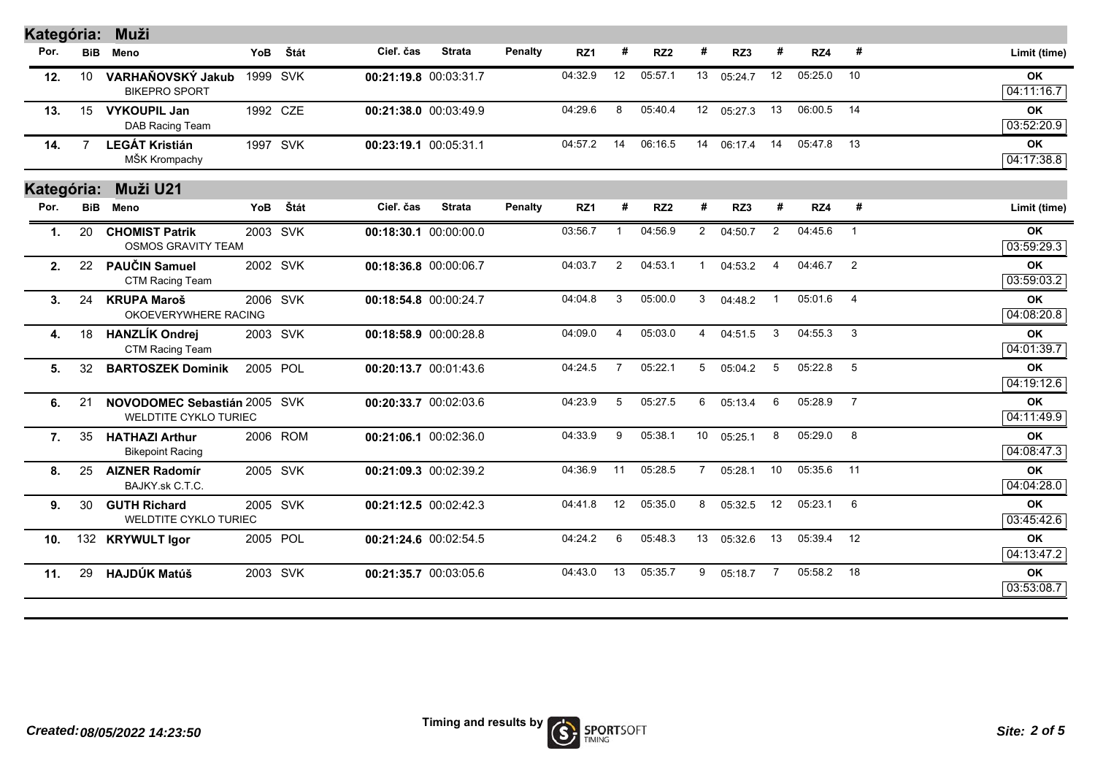| Kategória:       |            | Muži                                                         |     |          |                       |               |                |         |                |                 |                |            |                |         |                |                         |
|------------------|------------|--------------------------------------------------------------|-----|----------|-----------------------|---------------|----------------|---------|----------------|-----------------|----------------|------------|----------------|---------|----------------|-------------------------|
| Por.             | <b>BiB</b> | Meno                                                         | YoB | Štát     | Cieľ. čas             | <b>Strata</b> | <b>Penalty</b> | RZ1     | #              | RZ <sub>2</sub> | #              | RZ3        | #              | RZ4     | #              | Limit (time)            |
| 12.              | 10         | VARHAŇOVSKÝ Jakub<br><b>BIKEPRO SPORT</b>                    |     | 1999 SVK | 00:21:19.8 00:03:31.7 |               |                | 04:32.9 | 12             | 05:57.1         | 13             | 05:24.7    | 12             | 05:25.0 | 10             | <b>OK</b><br>04:11:16.7 |
| 13.              | 15         | <b>VYKOUPIL Jan</b><br>DAB Racing Team                       |     | 1992 CZE | 00:21:38.0 00:03:49.9 |               |                | 04:29.6 | 8              | 05:40.4         |                | 12 05:27.3 | 13             | 06:00.5 | 14             | OK<br>03:52:20.9        |
| 14.              | 7          | <b>LEGÁT Kristián</b><br>MŠK Krompachy                       |     | 1997 SVK | 00:23:19.1 00:05:31.1 |               |                | 04:57.2 | 14             | 06:16.5         |                | 14 06:17.4 | 14             | 05:47.8 | - 13           | <b>OK</b><br>04:17:38.8 |
| Kategória:       |            | Muži U21                                                     |     |          |                       |               |                |         |                |                 |                |            |                |         |                |                         |
| Por.             | <b>BiB</b> | Meno                                                         | YoB | Štát     | Cieľ. čas             | <b>Strata</b> | Penalty        | RZ1     | #              | RZ <sub>2</sub> | #              | RZ3        | #              | RZ4     | #              | Limit (time)            |
| 1.               | 20         | <b>CHOMIST Patrik</b><br><b>OSMOS GRAVITY TEAM</b>           |     | 2003 SVK | 00:18:30.1 00:00:00.0 |               |                | 03:56.7 | $\mathbf{1}$   | 04:56.9         | $\overline{2}$ | 04:50.7    | $\overline{2}$ | 04:45.6 | $\overline{1}$ | <b>OK</b><br>03:59:29.3 |
| 2.               | 22         | PAUČIN Samuel<br>CTM Racing Team                             |     | 2002 SVK | 00:18:36.8 00:00:06.7 |               |                | 04:03.7 | $\overline{2}$ | 04:53.1         | -1             | 04:53.2    | $\overline{4}$ | 04:46.7 | 2              | <b>OK</b><br>03:59:03.2 |
| 3.               | 24         | <b>KRUPA Maroš</b><br>OKOEVERYWHERE RACING                   |     | 2006 SVK | 00:18:54.8 00:00:24.7 |               |                | 04:04.8 | 3              | 05:00.0         | 3              | 04:48.2    | $\mathbf{1}$   | 05:01.6 | $\overline{4}$ | <b>OK</b><br>04:08:20.8 |
| 4.               | 18         | <b>HANZLÍK Ondrej</b><br>CTM Racing Team                     |     | 2003 SVK | 00:18:58.9 00:00:28.8 |               |                | 04:09.0 | 4              | 05:03.0         | $\overline{4}$ | 04:51.5    | 3              | 04:55.3 | - 3            | <b>OK</b><br>04:01:39.7 |
| 5.               | 32         | <b>BARTOSZEK Dominik</b>                                     |     | 2005 POL | 00:20:13.7 00:01:43.6 |               |                | 04:24.5 | $\overline{7}$ | 05:22.1         | 5              | 05:04.2    | 5              | 05:22.8 | -5             | <b>OK</b><br>04:19:12.6 |
| 6.               | 21         | NOVODOMEC Sebastián 2005 SVK<br><b>WELDTITE CYKLO TURIEC</b> |     |          | 00:20:33.7 00:02:03.6 |               |                | 04:23.9 | 5              | 05:27.5         | 6              | 05:13.4    | 6              | 05:28.9 | $\overline{7}$ | OK<br>04:11:49.9        |
| $\overline{7}$ . | 35         | <b>HATHAZI Arthur</b><br><b>Bikepoint Racing</b>             |     | 2006 ROM | 00:21:06.1 00:02:36.0 |               |                | 04:33.9 | 9              | 05:38.1         | 10             | 05:25.1    | 8              | 05:29.0 | 8              | <b>OK</b><br>04:08:47.3 |
| 8.               | 25         | <b>AIZNER Radomír</b><br>BAJKY.sk C.T.C.                     |     | 2005 SVK | 00:21:09.3 00:02:39.2 |               |                | 04:36.9 | 11             | 05:28.5         | $\overline{7}$ | 05:28.1    | 10             | 05:35.6 | 11             | <b>OK</b><br>04:04:28.0 |
| 9.               | 30         | <b>GUTH Richard</b><br><b>WELDTITE CYKLO TURIEC</b>          |     | 2005 SVK | 00:21:12.5 00:02:42.3 |               |                | 04:41.8 | 12             | 05:35.0         | 8              | 05:32.5    | 12             | 05:23.1 | 6              | <b>OK</b><br>03:45:42.6 |
| 10.              |            | 132 KRYWULT Igor                                             |     | 2005 POL | 00:21:24.6 00:02:54.5 |               |                | 04:24.2 | 6              | 05:48.3         | 13             | 05:32.6    | 13             | 05:39.4 | 12             | OK<br>04:13:47.2        |
| 11.              | 29         | <b>HAJDÚK Matúš</b>                                          |     | 2003 SVK | 00:21:35.7 00:03:05.6 |               |                | 04:43.0 | 13             | 05:35.7         | 9              | 05:18.7    | $\overline{7}$ | 05:58.2 | 18             | OK<br>03:53:08.7        |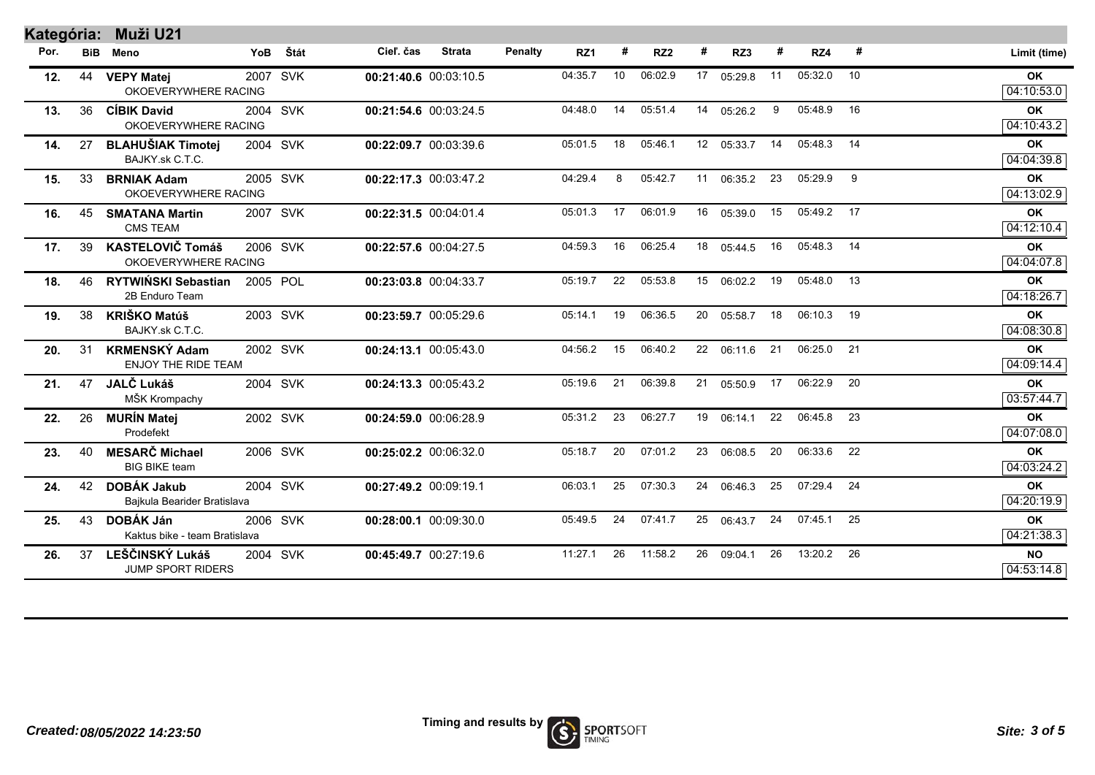| Kategória: |            | Muži U21                                           |     |          |                       |               |                |         |    |                 |    |            |    |            |      |                         |
|------------|------------|----------------------------------------------------|-----|----------|-----------------------|---------------|----------------|---------|----|-----------------|----|------------|----|------------|------|-------------------------|
| Por.       | <b>BiB</b> | Meno                                               | YoB | Štát     | Cieľ. čas             | <b>Strata</b> | <b>Penalty</b> | RZ1     | #  | RZ <sub>2</sub> | #  | RZ3        | #  | RZ4        | #    | Limit (time)            |
| 12.        | 44         | <b>VEPY Matej</b><br>OKOEVERYWHERE RACING          |     | 2007 SVK | 00:21:40.6 00:03:10.5 |               |                | 04:35.7 | 10 | 06:02.9         |    | 17 05:29.8 | 11 | 05:32.0    | 10   | <b>OK</b><br>04:10:53.0 |
| 13.        | 36         | <b>CÍBIK David</b><br>OKOEVERYWHERE RACING         |     | 2004 SVK | 00:21:54.6 00:03:24.5 |               |                | 04:48.0 | 14 | 05:51.4         |    | 14 05:26.2 | 9  | 05:48.9    | 16   | OK<br>04:10:43.2        |
| 14.        | 27         | <b>BLAHUŠIAK Timotej</b><br>BAJKY.sk C.T.C.        |     | 2004 SVK | 00:22:09.7 00:03:39.6 |               |                | 05:01.5 | 18 | 05:46.1         |    | 12 05:33.7 | 14 | 05:48.3 14 |      | OK<br>04:04:39.8        |
| 15.        | 33         | <b>BRNIAK Adam</b><br>OKOEVERYWHERE RACING         |     | 2005 SVK | 00:22:17.3 00:03:47.2 |               |                | 04:29.4 | 8  | 05:42.7         |    | 11 06:35.2 | 23 | 05:29.9    | 9    | OK<br>04:13:02.9        |
| 16.        | 45         | <b>SMATANA Martin</b><br><b>CMS TEAM</b>           |     | 2007 SVK | 00:22:31.5 00:04:01.4 |               |                | 05:01.3 | 17 | 06:01.9         | 16 | 05:39.0    | 15 | 05:49.2 17 |      | OK<br>04:12:10.4        |
| 17.        | 39         | <b>KASTELOVIČ Tomáš</b><br>OKOEVERYWHERE RACING    |     | 2006 SVK | 00:22:57.6 00:04:27.5 |               |                | 04:59.3 | 16 | 06:25.4         | 18 | 05:44.5    | 16 | 05:48.3    | 14   | OK<br>04:04:07.8        |
| 18.        | 46         | RYTWIŃSKI Sebastian<br>2B Enduro Team              |     | 2005 POL | 00:23:03.8 00:04:33.7 |               |                | 05:19.7 | 22 | 05:53.8         |    | 15 06:02.2 | 19 | 05:48.0    | 13   | OK<br>04:18:26.7        |
| 19.        | 38         | <b>KRIŠKO Matúš</b><br>BAJKY.sk C.T.C.             |     | 2003 SVK | 00:23:59.7 00:05:29.6 |               |                | 05:14.1 | 19 | 06:36.5         | 20 | 05:58.7    | 18 | 06:10.3    | 19   | <b>OK</b><br>04:08:30.8 |
| 20.        | 31         | <b>KRMENSKÝ Adam</b><br><b>ENJOY THE RIDE TEAM</b> |     | 2002 SVK | 00:24:13.1 00:05:43.0 |               |                | 04:56.2 | 15 | 06:40.2         | 22 | 06:11.6    | 21 | 06:25.0    | 21   | <b>OK</b><br>04:09:14.4 |
| 21.        | 47         | JALČ Lukáš<br>MŠK Krompachy                        |     | 2004 SVK | 00:24:13.3 00:05:43.2 |               |                | 05:19.6 | 21 | 06:39.8         | 21 | 05:50.9    | 17 | 06:22.9 20 |      | OK<br>03:57:44.7        |
| 22.        | 26         | <b>MURÍN Matej</b><br>Prodefekt                    |     | 2002 SVK | 00:24:59.0 00:06:28.9 |               |                | 05:31.2 | 23 | 06:27.7         | 19 | 06:14.1    | 22 | 06:45.8    | - 23 | OK<br>04:07:08.0        |
| 23.        | 40         | <b>MESARČ Michael</b><br><b>BIG BIKE team</b>      |     | 2006 SVK | 00:25:02.2 00:06:32.0 |               |                | 05:18.7 | 20 | 07:01.2         | 23 | 06:08.5    | 20 | 06:33.6    | 22   | OK<br>04:03:24.2        |
| 24.        | 42         | <b>DOBÁK Jakub</b><br>Bajkula Bearider Bratislava  |     | 2004 SVK | 00:27:49.2 00:09:19.1 |               |                | 06:03.1 | 25 | 07:30.3         | 24 | 06:46.3    | 25 | 07:29.4 24 |      | OK<br>04:20:19.9        |
| 25.        | 43         | <b>DOBÁK Ján</b><br>Kaktus bike - team Bratislava  |     | 2006 SVK | 00:28:00.1 00:09:30.0 |               |                | 05:49.5 | 24 | 07:41.7         | 25 | 06:43.7    | 24 | 07:45.1 25 |      | OK<br>04:21:38.3        |
| 26.        | 37         | <b>LEŠČINSKÝ Lukáš</b><br><b>JUMP SPORT RIDERS</b> |     | 2004 SVK | 00:45:49.7 00:27:19.6 |               |                | 11:27.1 | 26 | 11:58.2         | 26 | 09:04.1    | 26 | 13:20.2 26 |      | <b>NO</b><br>04:53:14.8 |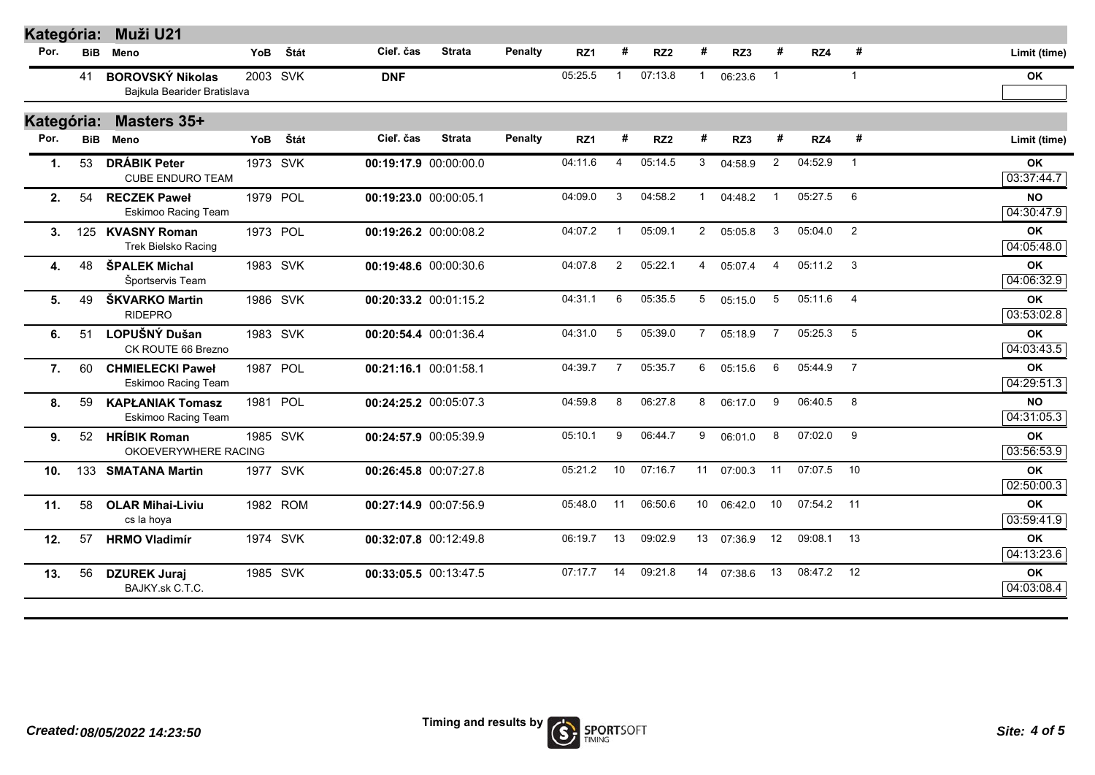| Kategória:      |            | Muži U21                                               |            |          |                       |               |                |         |                |                 |                 |         |                |            |                         |                         |
|-----------------|------------|--------------------------------------------------------|------------|----------|-----------------------|---------------|----------------|---------|----------------|-----------------|-----------------|---------|----------------|------------|-------------------------|-------------------------|
| Por.            | <b>BiB</b> | Meno                                                   | <b>YoB</b> | Štát     | Cieľ. čas             | <b>Strata</b> | <b>Penalty</b> | RZ1     | #              | RZ <sub>2</sub> | #               | RZ3     | #              | RZ4        | #                       | Limit (time)            |
|                 | 41         | <b>BOROVSKÝ Nikolas</b><br>Bajkula Bearider Bratislava |            | 2003 SVK | <b>DNF</b>            |               |                | 05:25.5 | $\mathbf 1$    | 07:13.8         | $\mathbf{1}$    | 06:23.6 | $\mathbf{1}$   |            | $\mathbf{1}$            | <b>OK</b>               |
| Kategória:      |            | Masters 35+                                            |            |          |                       |               |                |         |                |                 |                 |         |                |            |                         |                         |
| Por.            | <b>BiB</b> | Meno                                                   | <b>YoB</b> | Štát     | Cieľ. čas             | <b>Strata</b> | <b>Penalty</b> | RZ1     | #              | RZ <sub>2</sub> | #               | RZ3     | #              | RZ4        | #                       | Limit (time)            |
| 1.              | 53         | <b>DRÁBIK Peter</b><br><b>CUBE ENDURO TEAM</b>         |            | 1973 SVK | 00:19:17.9 00:00:00.0 |               |                | 04:11.6 | 4              | 05:14.5         | 3               | 04:58.9 | $\mathbf{2}$   | 04:52.9    | $\overline{1}$          | <b>OK</b><br>03:37:44.7 |
| 2.              | 54         | <b>RECZEK Paweł</b><br>Eskimoo Racing Team             |            | 1979 POL | 00:19:23.0 00:00:05.1 |               |                | 04:09.0 | 3              | 04:58.2         |                 | 04:48.2 |                | 05:27.5    | 6                       | <b>NO</b><br>04:30:47.9 |
| 3.              |            | 125 KVASNY Roman<br>Trek Bielsko Racing                |            | 1973 POL | 00:19:26.2 00:00:08.2 |               |                | 04:07.2 | $\overline{1}$ | 05:09.1         | $\overline{2}$  | 05:05.8 | 3              | 05:04.0    | $\overline{2}$          | OK<br>04:05:48.0        |
| 4.              | 48         | ŠPALEK Michal<br>Športservis Team                      |            | 1983 SVK | 00:19:48.6 00:00:30.6 |               |                | 04:07.8 | $\overline{2}$ | 05:22.1         | 4               | 05:07.4 | $\overline{4}$ | 05:11.2    | $\overline{\textbf{3}}$ | OK<br>04:06:32.9        |
| 5.              | 49         | ŠKVARKO Martin<br><b>RIDEPRO</b>                       |            | 1986 SVK | 00:20:33.2 00:01:15.2 |               |                | 04:31.1 | 6              | 05:35.5         | 5               | 05:15.0 | 5              | 05:11.6    | $\overline{4}$          | OK<br>03:53:02.8        |
| 6.              | 51         | LOPUŠNÝ Dušan<br>CK ROUTE 66 Brezno                    |            | 1983 SVK | 00:20:54.4 00:01:36.4 |               |                | 04:31.0 | 5              | 05:39.0         | $\overline{7}$  | 05:18.9 | $\overline{7}$ | 05:25.3    | 5                       | OK<br>04:03:43.5        |
| 7.              | 60         | <b>CHMIELECKI Paweł</b><br>Eskimoo Racing Team         |            | 1987 POL | 00:21:16.1 00:01:58.1 |               |                | 04:39.7 | $\overline{7}$ | 05:35.7         | 6               | 05:15.6 | 6              | 05:44.9    | $\overline{7}$          | <b>OK</b><br>04:29:51.3 |
| 8.              | 59         | <b>KAPŁANIAK Tomasz</b><br>Eskimoo Racing Team         |            | 1981 POL | 00:24:25.2 00:05:07.3 |               |                | 04:59.8 | 8              | 06:27.8         | 8               | 06:17.0 | 9              | 06:40.5    | 8                       | <b>NO</b><br>04:31:05.3 |
| 9.              | 52         | <b>HRÍBIK Roman</b><br>OKOEVERYWHERE RACING            |            | 1985 SVK | 00:24:57.9 00:05:39.9 |               |                | 05:10.1 | 9              | 06:44.7         | 9               | 06:01.0 | 8              | 07:02.0    | 9                       | OK<br>03:56:53.9        |
| 10 <sub>1</sub> |            | 133 SMATANA Martin                                     |            | 1977 SVK | 00:26:45.8 00:07:27.8 |               |                | 05:21.2 | 10             | 07:16.7         | 11              | 07:00.3 | 11             | 07:07.5    | 10                      | OK<br>02:50:00.3        |
| 11.             | 58         | <b>OLAR Mihai-Liviu</b><br>cs la hoya                  |            | 1982 ROM | 00:27:14.9 00:07:56.9 |               |                | 05:48.0 | 11             | 06:50.6         | 10 <sup>1</sup> | 06:42.0 | 10             | 07:54.2 11 |                         | OK<br>03:59:41.9        |
| 12.             | 57         | <b>HRMO Vladimír</b>                                   |            | 1974 SVK | 00:32:07.8 00:12:49.8 |               |                | 06:19.7 | 13             | 09:02.9         | 13              | 07:36.9 | 12             | 09:08.1    | 13                      | OK<br>04:13:23.6        |
| 13.             | 56         | <b>DZUREK Juraj</b><br>BAJKY.sk C.T.C.                 |            | 1985 SVK | 00:33:05.5 00:13:47.5 |               |                | 07:17.7 | 14             | 09:21.8         | 14              | 07:38.6 | 13             | 08:47.2    | 12                      | OK<br>04:03:08.4        |